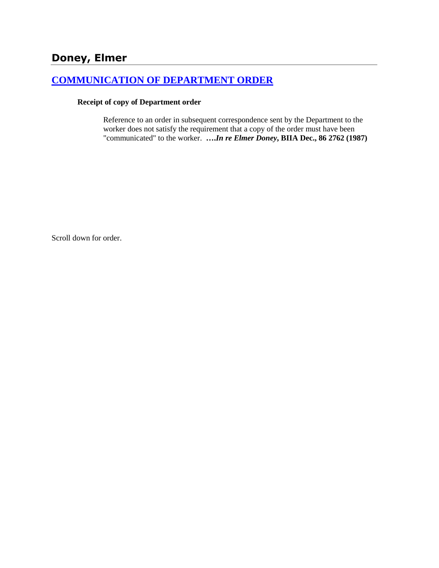# **[COMMUNICATION OF DEPARTMENT ORDER](http://www.biia.wa.gov/SDSubjectIndex.html#COMMUNICATION_OF_DEPARTMENT_ORDER)**

#### **Receipt of copy of Department order**

Reference to an order in subsequent correspondence sent by the Department to the worker does not satisfy the requirement that a copy of the order must have been "communicated" to the worker. **….***In re Elmer Doney***, BIIA Dec., 86 2762 (1987)** 

Scroll down for order.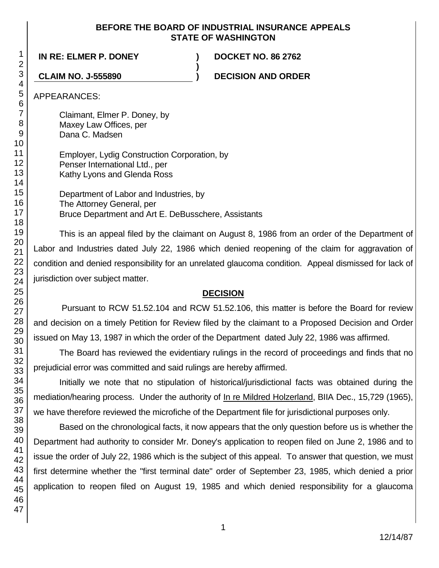#### **BEFORE THE BOARD OF INDUSTRIAL INSURANCE APPEALS STATE OF WASHINGTON**

**)**

**IN RE: ELMER P. DONEY ) DOCKET NO. 86 2762**

**CLAIM NO. J-555890 ) DECISION AND ORDER**

APPEARANCES:

Claimant, Elmer P. Doney, by Maxey Law Offices, per Dana C. Madsen

Employer, Lydig Construction Corporation, by Penser International Ltd., per Kathy Lyons and Glenda Ross

Department of Labor and Industries, by The Attorney General, per Bruce Department and Art E. DeBusschere, Assistants

This is an appeal filed by the claimant on August 8, 1986 from an order of the Department of Labor and Industries dated July 22, 1986 which denied reopening of the claim for aggravation of condition and denied responsibility for an unrelated glaucoma condition. Appeal dismissed for lack of jurisdiction over subject matter.

## **DECISION**

Pursuant to RCW 51.52.104 and RCW 51.52.106, this matter is before the Board for review and decision on a timely Petition for Review filed by the claimant to a Proposed Decision and Order issued on May 13, 1987 in which the order of the Department dated July 22, 1986 was affirmed.

The Board has reviewed the evidentiary rulings in the record of proceedings and finds that no prejudicial error was committed and said rulings are hereby affirmed.

Initially we note that no stipulation of historical/jurisdictional facts was obtained during the mediation/hearing process. Under the authority of In re Mildred Holzerland, BIIA Dec., 15,729 (1965), we have therefore reviewed the microfiche of the Department file for jurisdictional purposes only.

Based on the chronological facts, it now appears that the only question before us is whether the Department had authority to consider Mr. Doney's application to reopen filed on June 2, 1986 and to issue the order of July 22, 1986 which is the subject of this appeal. To answer that question, we must first determine whether the "first terminal date" order of September 23, 1985, which denied a prior application to reopen filed on August 19, 1985 and which denied responsibility for a glaucoma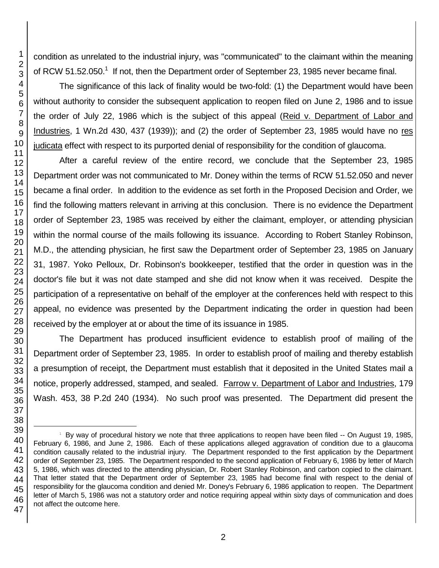condition as unrelated to the industrial injury, was "communicated" to the claimant within the meaning of RCW 51.52.050.<sup>1</sup> If not, then the Department order of September 23, 1985 never became final.

The significance of this lack of finality would be two-fold: (1) the Department would have been without authority to consider the subsequent application to reopen filed on June 2, 1986 and to issue the order of July 22, 1986 which is the subject of this appeal (Reid v. Department of Labor and Industries, 1 Wn.2d 430, 437 (1939)); and (2) the order of September 23, 1985 would have no res judicata effect with respect to its purported denial of responsibility for the condition of glaucoma.

After a careful review of the entire record, we conclude that the September 23, 1985 Department order was not communicated to Mr. Doney within the terms of RCW 51.52.050 and never became a final order. In addition to the evidence as set forth in the Proposed Decision and Order, we find the following matters relevant in arriving at this conclusion. There is no evidence the Department order of September 23, 1985 was received by either the claimant, employer, or attending physician within the normal course of the mails following its issuance. According to Robert Stanley Robinson, M.D., the attending physician, he first saw the Department order of September 23, 1985 on January 31, 1987. Yoko Pelloux, Dr. Robinson's bookkeeper, testified that the order in question was in the doctor's file but it was not date stamped and she did not know when it was received. Despite the participation of a representative on behalf of the employer at the conferences held with respect to this appeal, no evidence was presented by the Department indicating the order in question had been received by the employer at or about the time of its issuance in 1985.

The Department has produced insufficient evidence to establish proof of mailing of the Department order of September 23, 1985. In order to establish proof of mailing and thereby establish a presumption of receipt, the Department must establish that it deposited in the United States mail a notice, properly addressed, stamped, and sealed. Farrow v. Department of Labor and Industries, 179 Wash. 453, 38 P.2d 240 (1934). No such proof was presented. The Department did present the

l

 $1$  By way of procedural history we note that three applications to reopen have been filed  $-$  On August 19, 1985, February 6, 1986, and June 2, 1986. Each of these applications alleged aggravation of condition due to a glaucoma condition causally related to the industrial injury. The Department responded to the first application by the Department order of September 23, 1985. The Department responded to the second application of February 6, 1986 by letter of March 5, 1986, which was directed to the attending physician, Dr. Robert Stanley Robinson, and carbon copied to the claimant. That letter stated that the Department order of September 23, 1985 had become final with respect to the denial of responsibility for the glaucoma condition and denied Mr. Doney's February 6, 1986 application to reopen. The Department letter of March 5, 1986 was not a statutory order and notice requiring appeal within sixty days of communication and does not affect the outcome here.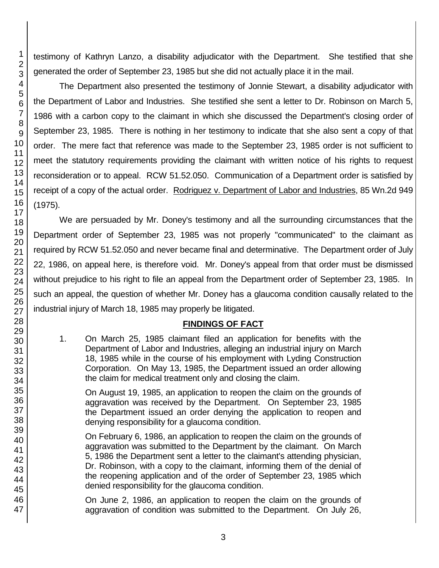testimony of Kathryn Lanzo, a disability adjudicator with the Department. She testified that she generated the order of September 23, 1985 but she did not actually place it in the mail.

The Department also presented the testimony of Jonnie Stewart, a disability adjudicator with the Department of Labor and Industries. She testified she sent a letter to Dr. Robinson on March 5, 1986 with a carbon copy to the claimant in which she discussed the Department's closing order of September 23, 1985. There is nothing in her testimony to indicate that she also sent a copy of that order. The mere fact that reference was made to the September 23, 1985 order is not sufficient to meet the statutory requirements providing the claimant with written notice of his rights to request reconsideration or to appeal. RCW 51.52.050. Communication of a Department order is satisfied by receipt of a copy of the actual order. Rodriguez v. Department of Labor and Industries, 85 Wn.2d 949 (1975).

We are persuaded by Mr. Doney's testimony and all the surrounding circumstances that the Department order of September 23, 1985 was not properly "communicated" to the claimant as required by RCW 51.52.050 and never became final and determinative. The Department order of July 22, 1986, on appeal here, is therefore void. Mr. Doney's appeal from that order must be dismissed without prejudice to his right to file an appeal from the Department order of September 23, 1985. In such an appeal, the question of whether Mr. Doney has a glaucoma condition causally related to the industrial injury of March 18, 1985 may properly be litigated.

#### **FINDINGS OF FACT**

1. On March 25, 1985 claimant filed an application for benefits with the Department of Labor and Industries, alleging an industrial injury on March 18, 1985 while in the course of his employment with Lyding Construction Corporation. On May 13, 1985, the Department issued an order allowing the claim for medical treatment only and closing the claim.

On August 19, 1985, an application to reopen the claim on the grounds of aggravation was received by the Department. On September 23, 1985 the Department issued an order denying the application to reopen and denying responsibility for a glaucoma condition.

On February 6, 1986, an application to reopen the claim on the grounds of aggravation was submitted to the Department by the claimant. On March 5, 1986 the Department sent a letter to the claimant's attending physician, Dr. Robinson, with a copy to the claimant, informing them of the denial of the reopening application and of the order of September 23, 1985 which denied responsibility for the glaucoma condition.

On June 2, 1986, an application to reopen the claim on the grounds of aggravation of condition was submitted to the Department. On July 26,